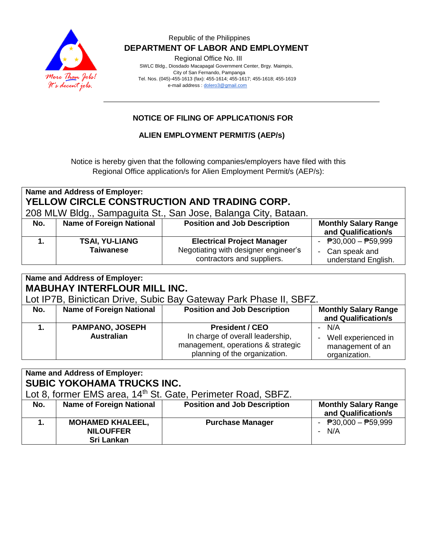

### Republic of the Philippines  **DEPARTMENT OF LABOR AND EMPLOYMENT**

Regional Office No. III

 SWLC Bldg., Diosdado Macapagal Government Center, Brgy. Maimpis, City of San Fernando, Pampanga Tel. Nos. (045)-455-1613 (fax): 455-1614; 455-1617; 455-1618; 455-1619 e-mail address [: dolero3@gmail.com](mailto:dolero3@gmail.com)

## **NOTICE OF FILING OF APPLICATION/S FOR**

## **ALIEN EMPLOYMENT PERMIT/S (AEP/s)**

Notice is hereby given that the following companies/employers have filed with this Regional Office application/s for Alien Employment Permit/s (AEP/s):

| <b>Name and Address of Employer:</b><br>YELLOW CIRCLE CONSTRUCTION AND TRADING CORP.<br>208 MLW Bldg., Sampaguita St., San Jose, Balanga City, Bataan. |                                           |                                                                                                         |                                                                 |  |  |  |
|--------------------------------------------------------------------------------------------------------------------------------------------------------|-------------------------------------------|---------------------------------------------------------------------------------------------------------|-----------------------------------------------------------------|--|--|--|
| No.                                                                                                                                                    | <b>Name of Foreign National</b>           | <b>Position and Job Description</b>                                                                     | <b>Monthly Salary Range</b><br>and Qualification/s              |  |  |  |
|                                                                                                                                                        | <b>TSAI, YU-LIANG</b><br><b>Taiwanese</b> | <b>Electrical Project Manager</b><br>Negotiating with designer engineer's<br>contractors and suppliers. | - $P30,000 - P59,999$<br>- Can speak and<br>understand English. |  |  |  |

| <b>Name and Address of Employer:</b><br><b>MABUHAY INTERFLOUR MILL INC.</b><br>Lot IP7B, Binictican Drive, Subic Bay Gateway Park Phase II, SBFZ. |                                             |                                                                                                                                   |                                                                   |  |  |  |
|---------------------------------------------------------------------------------------------------------------------------------------------------|---------------------------------------------|-----------------------------------------------------------------------------------------------------------------------------------|-------------------------------------------------------------------|--|--|--|
| No.                                                                                                                                               | <b>Name of Foreign National</b>             | <b>Position and Job Description</b>                                                                                               | <b>Monthly Salary Range</b><br>and Qualification/s                |  |  |  |
|                                                                                                                                                   | <b>PAMPANO, JOSEPH</b><br><b>Australian</b> | <b>President / CEO</b><br>In charge of overall leadership,<br>management, operations & strategic<br>planning of the organization. | - N/A<br>Well experienced in<br>management of an<br>organization. |  |  |  |

| <b>Name and Address of Employer:</b><br><b>SUBIC YOKOHAMA TRUCKS INC.</b> |                                                           |                                     |                                                    |  |  |  |
|---------------------------------------------------------------------------|-----------------------------------------------------------|-------------------------------------|----------------------------------------------------|--|--|--|
| Lot 8, former EMS area, 14 <sup>th</sup> St. Gate, Perimeter Road, SBFZ.  |                                                           |                                     |                                                    |  |  |  |
| No.                                                                       | <b>Name of Foreign National</b>                           | <b>Position and Job Description</b> | <b>Monthly Salary Range</b><br>and Qualification/s |  |  |  |
| 1.                                                                        | <b>MOHAMED KHALEEL,</b><br><b>NILOUFFER</b><br>Sri Lankan | <b>Purchase Manager</b>             | - $P30,000 - P59,999$<br>$- N/A$                   |  |  |  |